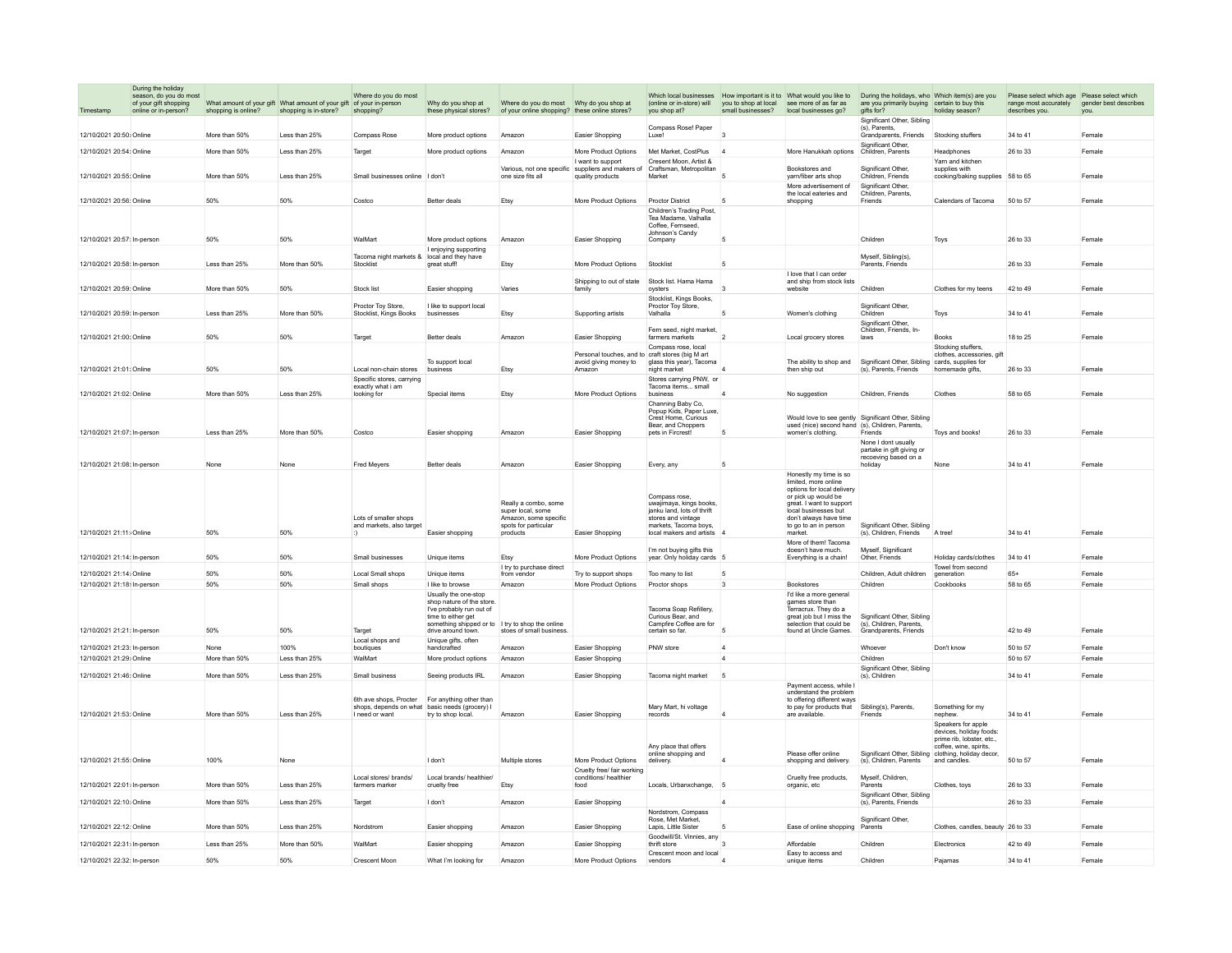|                                                         | During the holiday                                                      |                     |                                                                                              |                                                   |                                                                                                                                                        |                                                                                            |                                                                                     |                                                                                                                       |                          |                                                                                                                                                                                  |                                                                                                                                                                                   |                                                                                                     |                                                                                        |                               |
|---------------------------------------------------------|-------------------------------------------------------------------------|---------------------|----------------------------------------------------------------------------------------------|---------------------------------------------------|--------------------------------------------------------------------------------------------------------------------------------------------------------|--------------------------------------------------------------------------------------------|-------------------------------------------------------------------------------------|-----------------------------------------------------------------------------------------------------------------------|--------------------------|----------------------------------------------------------------------------------------------------------------------------------------------------------------------------------|-----------------------------------------------------------------------------------------------------------------------------------------------------------------------------------|-----------------------------------------------------------------------------------------------------|----------------------------------------------------------------------------------------|-------------------------------|
|                                                         | season, do you do most<br>of your gift shopping<br>online or in-person? | shopping is online? | What amount of your gift What amount of your gift of your in-person<br>shopping is in-store? | Where do you do most<br>shopping?                 | Why do you shop at<br>these physical stores?                                                                                                           | of your online shopping? these online stores?                                              |                                                                                     | (online or in-store) will<br>you shop at?                                                                             | small businesses?        | you to shop at local see more of as far as<br>local businesses go?                                                                                                               | Which local businesses How important is it to What would you like to During the holidays, who Which item(s) are you<br>are you primarily buying certain to buy this<br>gifts for? | holiday season?                                                                                     | Please select which age Please select which<br>range most accurately<br>describes you. | gender best describes<br>you. |
| 12/10/2021 20:50: Online                                |                                                                         | More than 50%       | Less than 25%                                                                                | <b>Compass Rose</b>                               | More product options                                                                                                                                   | Amazon                                                                                     | Easier Shopping                                                                     | Compass Rose! Paper<br>Luxe!                                                                                          | $\overline{3}$           |                                                                                                                                                                                  | Significant Other Sibling<br>(s), Parents.<br>Grandparents, Friends                                                                                                               | Stocking stuffers                                                                                   | 34 to 41                                                                               | Female                        |
| 12/10/2021 20:54: Online                                |                                                                         | More than 50%       | Less than 25%                                                                                | Target                                            | More product options                                                                                                                                   | Amazon                                                                                     | More Product Options                                                                | Met Market, CostPlus                                                                                                  | $\overline{4}$           | More Hanukkah options                                                                                                                                                            | Significant Other,<br>Children, Parents                                                                                                                                           | Headphones                                                                                          | 26 to 33                                                                               | Female                        |
|                                                         |                                                                         |                     |                                                                                              |                                                   |                                                                                                                                                        |                                                                                            | I want to support                                                                   | Cresent Moon Artist &                                                                                                 |                          |                                                                                                                                                                                  |                                                                                                                                                                                   | Yarn and kitchen                                                                                    |                                                                                        |                               |
| 12/10/2021 20:55: Online                                |                                                                         | More than 50%       | Less than 25%                                                                                | Small businesses online I don't                   |                                                                                                                                                        | Various, not one specific<br>one size fits all                                             | suppliers and makers of<br>quality products                                         | Craftsman, Metropolitan<br>Market                                                                                     |                          | Bookstores and<br>varn/fiber arts shop<br>More advertisement of                                                                                                                  | Significant Other,<br>Children, Friends<br>Significant Other.                                                                                                                     | supplies with<br>cooking/baking supplies                                                            | 58 to 65                                                                               | Female                        |
| 12/10/2021 20:56: Online                                |                                                                         | 50%                 | 50%                                                                                          | Costco                                            | Better deals                                                                                                                                           | Etsy                                                                                       | More Product Options                                                                | Proctor District                                                                                                      | 5                        | the local eateries and<br>shopping                                                                                                                                               | Children Parents<br>Friends                                                                                                                                                       | Calendars of Tacoma                                                                                 | 50 to 57                                                                               | Female                        |
|                                                         |                                                                         |                     |                                                                                              |                                                   |                                                                                                                                                        |                                                                                            |                                                                                     | Children's Trading Post<br>Tea Madame, Valhalla<br>Coffee Fernseed<br>Johnson's Candy                                 |                          |                                                                                                                                                                                  |                                                                                                                                                                                   |                                                                                                     |                                                                                        |                               |
| 12/10/2021 20:57: In-person                             |                                                                         | 50%                 | 50%                                                                                          | WalMart                                           | More product options                                                                                                                                   | Amazon                                                                                     | Easier Shopping                                                                     | Company                                                                                                               | 5                        |                                                                                                                                                                                  | Children                                                                                                                                                                          | Toys                                                                                                | 26 to 33                                                                               | Female                        |
| 12/10/2021 20:58: In-person                             |                                                                         | Less than 25%       | More than 50%                                                                                | Tacoma night markets &<br>Stocklist               | I enjoying supporting<br>local and they have<br>great stuff!                                                                                           | Etsy                                                                                       | More Product Options                                                                | Stocklist                                                                                                             | 5                        |                                                                                                                                                                                  | Myself, Sibling(s)<br>Parents, Friends                                                                                                                                            |                                                                                                     | 26 to 33                                                                               | Female                        |
|                                                         |                                                                         |                     |                                                                                              |                                                   |                                                                                                                                                        |                                                                                            |                                                                                     |                                                                                                                       |                          | I love that I can order                                                                                                                                                          |                                                                                                                                                                                   |                                                                                                     |                                                                                        |                               |
| 12/10/2021 20:59: Online                                |                                                                         | More than 50%       | 50%                                                                                          | Stock list                                        | Easier shopping                                                                                                                                        | Varies                                                                                     | Shipping to out of state<br>family                                                  | Stock list. Hama Hama<br>oysters<br>Stocklist Kings Books                                                             |                          | and ship from stock lists<br>website                                                                                                                                             | Children                                                                                                                                                                          | Clothes for my teens                                                                                | 42 to 49                                                                               | Female                        |
| 12/10/2021 20:59: In-person                             |                                                                         | Less than 25%       | More than 50%                                                                                | Proctor Toy Store,<br>Stocklist, Kings Books      | I like to support local<br>businesses                                                                                                                  | Etsy                                                                                       | Supporting artists                                                                  | Proctor Toy Store,<br>Valhalla                                                                                        |                          | Women's clothing                                                                                                                                                                 | Significant Other,<br>Children                                                                                                                                                    | Toys                                                                                                | 34 to 41                                                                               | Female                        |
| 12/10/2021 21:00: Online                                |                                                                         | 50%                 | 50%                                                                                          | Target                                            | Better deals                                                                                                                                           | Amazon                                                                                     | Easier Shopping                                                                     | Fern seed night market<br>farmers markets                                                                             | $\overline{\phantom{a}}$ | Local grocery stores                                                                                                                                                             | Significant Other,<br>Children, Friends, In-<br>laws                                                                                                                              | <b>Books</b>                                                                                        | 18 to 25                                                                               | Female                        |
|                                                         |                                                                         |                     |                                                                                              |                                                   |                                                                                                                                                        |                                                                                            |                                                                                     | Compass rose, local                                                                                                   |                          |                                                                                                                                                                                  |                                                                                                                                                                                   | Stocking stuffers,                                                                                  |                                                                                        |                               |
| 12/10/2021 21:01: Online                                |                                                                         | 50%                 | 50%                                                                                          | Local non-chain stores                            | To support local<br>business                                                                                                                           | Etsy                                                                                       | Personal touches, and to craft stores (big M art<br>avoid giving money to<br>Amazon | glass this year), Tacoma<br>night market                                                                              |                          | The ability to shop and<br>then ship out                                                                                                                                         | Significant Other, Sibling cards, supplies for<br>(s). Parents, Friends                                                                                                           | clothes, accessories, gift<br>homemade gifts.                                                       | 26 to 33                                                                               | Female                        |
|                                                         |                                                                         |                     |                                                                                              | Specific stores, carrying                         |                                                                                                                                                        |                                                                                            |                                                                                     | Stores carrying PNW, or                                                                                               |                          |                                                                                                                                                                                  |                                                                                                                                                                                   |                                                                                                     |                                                                                        |                               |
| 12/10/2021 21:02: Online                                |                                                                         | More than 50%       | Less than 25%                                                                                | exactly what i am<br>looking for                  | Special items                                                                                                                                          | Etsy                                                                                       | More Product Options                                                                | Tacoma items small<br>business                                                                                        | $\overline{4}$           | No suggestion                                                                                                                                                                    | Children, Friends                                                                                                                                                                 | Clothes                                                                                             | 58 to 65                                                                               | Female                        |
|                                                         |                                                                         |                     |                                                                                              |                                                   |                                                                                                                                                        |                                                                                            |                                                                                     | Channing Baby Co.<br>Popup Kids, Paper Luxe,                                                                          |                          |                                                                                                                                                                                  |                                                                                                                                                                                   |                                                                                                     |                                                                                        |                               |
| 12/10/2021 21:07: In-person                             |                                                                         | Less than 25%       | More than 50%                                                                                | Costco                                            |                                                                                                                                                        | Amazon                                                                                     |                                                                                     | Crest Home, Curious<br>Bear, and Choppers<br>pets in Fircrest!                                                        | 5                        | used (nice) second hand (s), Children, Parents,<br>women's clothing.                                                                                                             | Would love to see gently Significant Other, Sibling<br>Friends                                                                                                                    | Toys and books!                                                                                     | 26 to 33                                                                               | Female                        |
|                                                         |                                                                         |                     |                                                                                              |                                                   | Easier shopping                                                                                                                                        |                                                                                            | Easier Shopping                                                                     |                                                                                                                       |                          |                                                                                                                                                                                  | None I dont usually                                                                                                                                                               |                                                                                                     |                                                                                        |                               |
| 12/10/2021 21:08: In-nerson                             |                                                                         | None                | None                                                                                         | <b>Fred Mevers</b>                                | <b>Better deals</b>                                                                                                                                    | Amazon                                                                                     | Easier Shopping                                                                     | Every, any                                                                                                            | 5                        |                                                                                                                                                                                  | partake in gift giving or<br>recoeving based on a<br>holidav                                                                                                                      | None                                                                                                | 34 to 41                                                                               | Female                        |
|                                                         |                                                                         |                     |                                                                                              |                                                   |                                                                                                                                                        |                                                                                            |                                                                                     |                                                                                                                       |                          | Honestly my time is so                                                                                                                                                           |                                                                                                                                                                                   |                                                                                                     |                                                                                        |                               |
|                                                         |                                                                         |                     |                                                                                              | Lots of smaller shops<br>and markets, also target |                                                                                                                                                        | Really a combo, some<br>super local, some<br>Amazon, some specific<br>spots for particular |                                                                                     | Compass rose,<br>uwaiimava, kings books.<br>ianku land. lots of thrift<br>stores and vintage<br>markets, Tacoma boys, |                          | limited, more online<br>options for local delivery<br>or pick up would be<br>great. I want to support<br>local businesses but<br>don't always have time<br>to go to an in person | Significant Other, Sibling                                                                                                                                                        |                                                                                                     |                                                                                        |                               |
| 12/10/2021 21:11: Online                                |                                                                         | 50%                 | 50%                                                                                          |                                                   | Easier shopping                                                                                                                                        | products                                                                                   | Easier Shopping                                                                     | local makers and artists 4                                                                                            |                          | market                                                                                                                                                                           | (s), Children, Friends                                                                                                                                                            | A tree                                                                                              | 34 to 41                                                                               | Female                        |
| 12/10/2021 21:14: In-person                             |                                                                         | 50%                 | 50%                                                                                          | Small businesses                                  | Unique items                                                                                                                                           | Etsy                                                                                       | More Product Options                                                                | I'm not buying gifts this<br>year. Only holiday cards                                                                 | 5                        | More of them! Tacoma<br>doesn't have much.<br>Everything is a chain!                                                                                                             | Myself, Significant<br>Other, Friends                                                                                                                                             | Holiday cards/clothes                                                                               | 34 to 41                                                                               | Female                        |
|                                                         |                                                                         |                     |                                                                                              |                                                   |                                                                                                                                                        | I try to purchase direct                                                                   |                                                                                     |                                                                                                                       |                          |                                                                                                                                                                                  |                                                                                                                                                                                   | Towel from second                                                                                   |                                                                                        |                               |
| 12/10/2021 21:14: Online<br>12/10/2021 21:18: In-person |                                                                         | 50%<br>50%          | 50%<br>50%                                                                                   | Local Small shops<br>Small shops                  | Unique items<br>I like to browse                                                                                                                       | from vendor<br>Amazon                                                                      | Try to support shops<br>More Product Options                                        | Too many to list                                                                                                      | 5<br>$\overline{3}$      | Bookstores                                                                                                                                                                       | Children. Adult children<br>Children                                                                                                                                              | generation<br>Cookbooks                                                                             | $65+$<br>58 to 65                                                                      | Female<br>Female              |
|                                                         |                                                                         |                     |                                                                                              |                                                   | Usually the one-stop<br>shop nature of the store<br>I've probably run out of<br>time to either get<br>something shipped or to I try to shop the online |                                                                                            |                                                                                     | Proctor shops<br>Tacoma Soap Refillerv.<br>Curious Bear, and<br>Campfire Coffee are for                               |                          | I'd like a more general<br>games store than<br>Terracrux. They do a<br>great job but I miss the<br>selection that could be                                                       | Significant Other, Sibling<br>(s), Children, Parents,                                                                                                                             |                                                                                                     |                                                                                        |                               |
| 12/10/2021 21:21: In-person                             |                                                                         | 50%                 | 50%                                                                                          | Target                                            | drive around town                                                                                                                                      | stoes of small business                                                                    |                                                                                     | certain so far                                                                                                        | 5                        | found at Uncle Games                                                                                                                                                             | Grandparents, Friends                                                                                                                                                             |                                                                                                     | 42 to 49                                                                               | Female                        |
| 12/10/2021 21:23: In-nerson                             |                                                                         | None                | 100%                                                                                         | Local shops and<br>boutiques                      | Unique gifts, often<br>handcrafted                                                                                                                     | Amazon                                                                                     | Easier Shopping                                                                     | PNW store                                                                                                             | $\overline{4}$           |                                                                                                                                                                                  | Whoever                                                                                                                                                                           | Don't know                                                                                          | 50 to 57                                                                               | Female                        |
| 12/10/2021 21:29: Online                                |                                                                         | More than 50%       | Less than 25%                                                                                | WalMart                                           | More product options                                                                                                                                   | Amazon                                                                                     | Easier Shopping                                                                     |                                                                                                                       | $\overline{4}$           |                                                                                                                                                                                  | Children                                                                                                                                                                          |                                                                                                     | 50 to 57                                                                               | Female                        |
| 12/10/2021 21:46: Online                                |                                                                         | More than 50%       | Less than 25%                                                                                | Small business                                    | Seeing products IRL                                                                                                                                    | Amazon                                                                                     | Easier Shopping                                                                     |                                                                                                                       | 5                        |                                                                                                                                                                                  | Significant Other, Sibling<br>(s), Children                                                                                                                                       |                                                                                                     | 34 to 41                                                                               | Female                        |
|                                                         |                                                                         |                     |                                                                                              | 6th ave shops. Procter                            | For anything other than                                                                                                                                |                                                                                            |                                                                                     | Tacoma night market                                                                                                   |                          | Payment access, while<br>understand the problem<br>to offering different ways                                                                                                    |                                                                                                                                                                                   |                                                                                                     |                                                                                        |                               |
| 12/10/2021 21:53: Online                                |                                                                         | More than 50%       | Less than 25%                                                                                | shops, depends on what<br>I need or want          | basic needs (grocery)<br>try to shop local                                                                                                             | Amazon                                                                                     | Easier Shopping                                                                     | Mary Mart, hi voltage<br>records                                                                                      | $\boldsymbol{\Lambda}$   | to pay for products that<br>are available.                                                                                                                                       | Sibling(s), Parents,<br>Friends                                                                                                                                                   | Something for my<br>nephew.                                                                         | 34 to 41                                                                               | Female                        |
|                                                         |                                                                         |                     |                                                                                              |                                                   |                                                                                                                                                        |                                                                                            |                                                                                     | Any place that offers                                                                                                 |                          |                                                                                                                                                                                  |                                                                                                                                                                                   | Speakers for apple<br>devices, holiday foods:<br>prime rib, lobster, etc.,<br>coffee, wine, spirits |                                                                                        |                               |
| 12/10/2021 21:55: Online                                |                                                                         | 100%                | None                                                                                         |                                                   | I don't                                                                                                                                                | Multiple stores                                                                            | More Product Options                                                                | online shopping and<br>delivery.                                                                                      |                          | Please offer online<br>shopping and delivery.                                                                                                                                    | Significant Other, Sibling clothing, holiday decor,<br>(s). Children, Parents                                                                                                     | and candles.                                                                                        | 50 to 57                                                                               | Female                        |
| 12/10/2021 22:01: In-person                             |                                                                         | More than 50%       | Less than 25%                                                                                | Local stores/ brands/<br>farmers marker           | Local brands/ healthier.<br>cruelty free                                                                                                               | Etsy                                                                                       | Cruelty free/ fair working<br>conditions/ healthier<br>food                         | Locals, Urbanxchange,                                                                                                 | 5                        | Cruelty free products,<br>organic, etc                                                                                                                                           | Myself, Children<br>Parents                                                                                                                                                       | Clothes, toys                                                                                       | 26 to 33                                                                               | Female                        |
| 12/10/2021 22:10: Online                                |                                                                         | More than 50%       | Less than 25%                                                                                | Target                                            | I don't                                                                                                                                                | Amazon                                                                                     | Easier Shopping                                                                     |                                                                                                                       |                          |                                                                                                                                                                                  | Significant Other, Sibling<br>(s), Parents, Friends                                                                                                                               |                                                                                                     | 26 to 33                                                                               | Female                        |
|                                                         |                                                                         |                     |                                                                                              |                                                   |                                                                                                                                                        |                                                                                            |                                                                                     | Nordstrom, Compass<br>Rose, Met Market                                                                                |                          |                                                                                                                                                                                  | Significant Other.                                                                                                                                                                |                                                                                                     |                                                                                        |                               |
| 12/10/2021 22:12: Online                                |                                                                         | More than 50%       | Less than 25%                                                                                | Nordstrom                                         | Easier shopping                                                                                                                                        | Amazon                                                                                     | Easier Shopping                                                                     | Lapis, Little Sister<br>Goodwill/St. Vinnies, any                                                                     | 5                        | Ease of online shopping                                                                                                                                                          | Parents                                                                                                                                                                           | Clothes, candles, beauty 26 to 33                                                                   |                                                                                        | Female                        |
| 12/10/2021 22:31: In-person                             |                                                                         | Less than 25%       | More than 50%                                                                                | WalMart                                           | Easier shopping                                                                                                                                        | Amazon                                                                                     | Easier Shopping                                                                     | thrift store                                                                                                          |                          | Affordable                                                                                                                                                                       | Children                                                                                                                                                                          | Electronics                                                                                         | 42 to 49                                                                               | Female                        |
| 12/10/2021 22:32: In-nerson                             |                                                                         | 50%                 | 50%                                                                                          | Crescent Moon                                     | What I'm looking for                                                                                                                                   | Amazon                                                                                     | More Product Ontions                                                                | Crescent moon and local<br>vendors                                                                                    |                          | Easy to access and<br>unique items                                                                                                                                               | Children                                                                                                                                                                          | Pajamas                                                                                             | 34 to 41                                                                               | Female                        |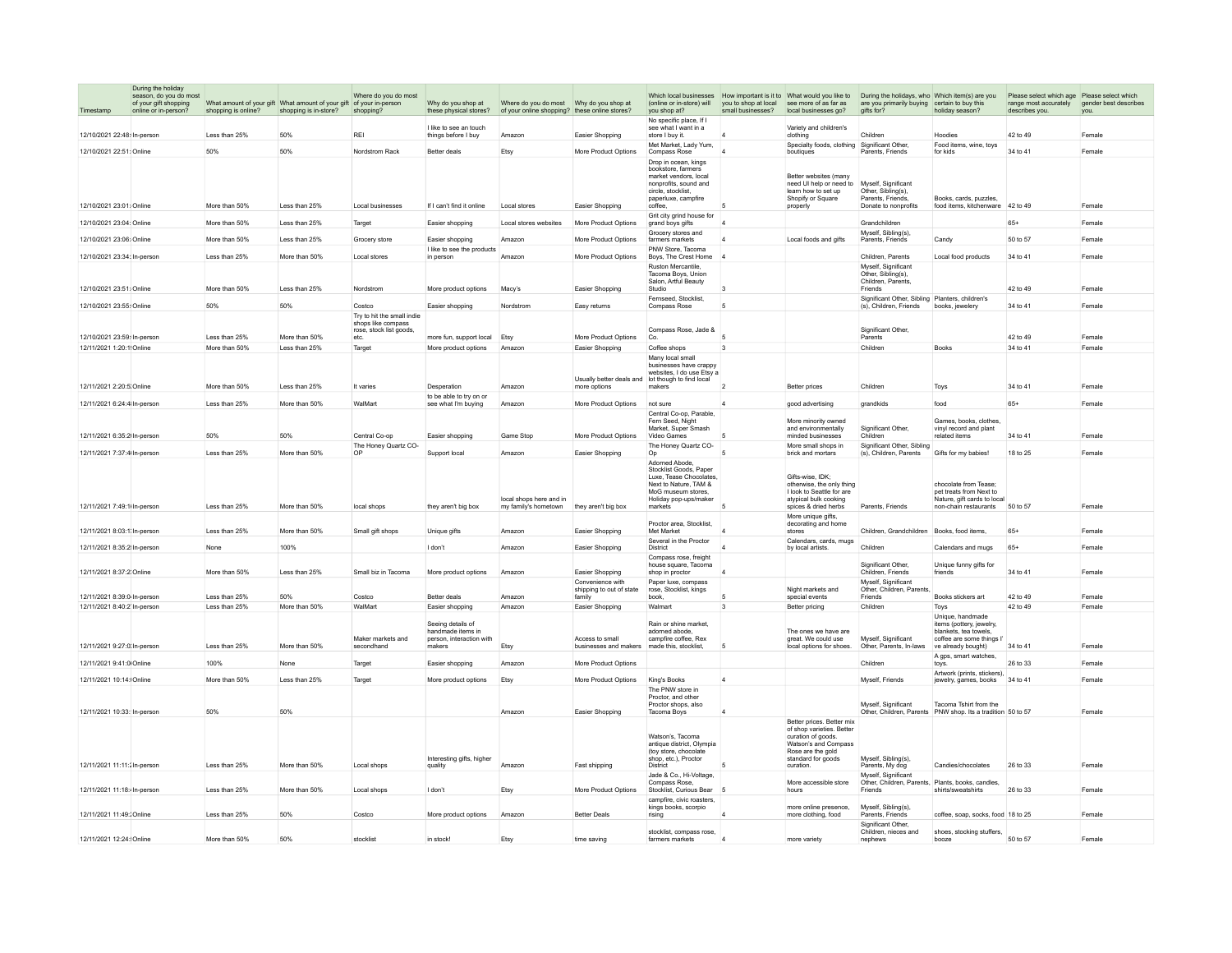| Timestamp                   | During the holiday<br>season, do you do most<br>of your gift shopping<br>online or in-person? | shopping is online? | What amount of your gift What amount of your gift of your in-person<br>shopping is in-store? | Where do you do most<br>shopping?                                                   | Why do you shop at<br>these physical stores?                                 | of your online shopping? these online stores?   |                                                                   | (online or in-store) will<br>you shop at?                                                                                                                 | you to shop at local<br>small businesses? | see more of as far as<br>local businesses go?                                                                                                                | Which local businesses How important is it to What would you like to During the holidays, who Which item(s) are you<br>are you primarily buying certain to buy this<br>gifts for? | holiday season?                                                                                                      | Please select which age Please select which<br>range most accurately<br>describes you. | gender best describes<br>you. |
|-----------------------------|-----------------------------------------------------------------------------------------------|---------------------|----------------------------------------------------------------------------------------------|-------------------------------------------------------------------------------------|------------------------------------------------------------------------------|-------------------------------------------------|-------------------------------------------------------------------|-----------------------------------------------------------------------------------------------------------------------------------------------------------|-------------------------------------------|--------------------------------------------------------------------------------------------------------------------------------------------------------------|-----------------------------------------------------------------------------------------------------------------------------------------------------------------------------------|----------------------------------------------------------------------------------------------------------------------|----------------------------------------------------------------------------------------|-------------------------------|
| 12/10/2021 22:48: In-nerson |                                                                                               | I ess than 25%      | 50%                                                                                          | RFI                                                                                 | I like to see an touch<br>things before I buy                                | Amazon                                          | Easier Shopping                                                   | No specific place. If<br>see what I want in a<br>store I buy it.                                                                                          | $\overline{A}$                            | Variety and children's<br>clothing                                                                                                                           | Children                                                                                                                                                                          | Hoodies                                                                                                              | 42 to 49                                                                               | Female                        |
|                             |                                                                                               |                     |                                                                                              |                                                                                     |                                                                              |                                                 |                                                                   | Met Market. Lady Yum.                                                                                                                                     |                                           | Specialty foods, clothing                                                                                                                                    | Significant Other,                                                                                                                                                                | Food items, wine, toys                                                                                               |                                                                                        |                               |
| 12/10/2021 22:51: Online    |                                                                                               | 50%                 | 50%                                                                                          | Nordstrom Rack                                                                      | Better deals                                                                 | Etsy                                            | More Product Options                                              | Compass Rose<br>Drop in ocean, kings<br>bookstore, farmers<br>market vendors, local<br>nonprofits, sound and<br>circle, stocklist,<br>paperluxe, campfire | $\overline{4}$                            | boutiques<br>Better websites (many<br>need UI help or need to<br>learn how to set up<br>Shopify or Square                                                    | Parents, Friends<br>Myself, Significant<br>Other, Sibling(s),<br>Parents Friends                                                                                                  | for kids<br>Books cards puzzles                                                                                      | 34 to 41                                                                               | Female                        |
| 12/10/2021 23:01: Online    |                                                                                               | More than 50%       | Less than 25%                                                                                | Local businesses                                                                    | If I can't find it online                                                    | Local stores                                    | Easier Shopping                                                   | coffee.<br>Grit city grind house for                                                                                                                      | 5                                         | properly                                                                                                                                                     | Donate to nonprofits                                                                                                                                                              | food items, kitchenware 42 to 49                                                                                     |                                                                                        | Female                        |
| 12/10/2021 23:04: Online    |                                                                                               | More than 50%       | Less than 25%                                                                                | Target                                                                              | Easier shopping                                                              | Local stores websites                           | More Product Options                                              | grand boys gifts<br>Grocery stores and                                                                                                                    | $\overline{4}$                            |                                                                                                                                                              | Grandchildren<br>Myself, Sibling(s),                                                                                                                                              |                                                                                                                      | $65+$                                                                                  | Female                        |
| 12/10/2021 23:06: Online    |                                                                                               | More than 50%       | Less than 25%                                                                                | Grocery store                                                                       | Easier shopping<br>I like to see the products                                | Amazon                                          | More Product Options                                              | farmers markets<br>PNW Store, Tacoma                                                                                                                      | $\overline{A}$                            | Local foods and gifts                                                                                                                                        | Parents, Friends                                                                                                                                                                  | Candy                                                                                                                | 50 to 57                                                                               | Female                        |
| 12/10/2021 23:34: In-person |                                                                                               | I ess than 25%      | More than 50%                                                                                | Local stores                                                                        | in person                                                                    | Amazon                                          | More Product Options                                              | Boys, The Crest Home<br>Ruston Mercantile,                                                                                                                | $\overline{4}$                            |                                                                                                                                                              | Children, Parents<br>Myself, Significant                                                                                                                                          | Local food products                                                                                                  | 34 to 41                                                                               | Female                        |
| 12/10/2021 23:51: Online    |                                                                                               | More than 50%       | Less than 25%                                                                                | Nordstrom                                                                           | More product options                                                         | Macy's                                          | Easier Shopping                                                   | Tacoma Boys, Union<br>Salon, Artful Beauty<br>Studio                                                                                                      | $\mathcal{R}$                             |                                                                                                                                                              | Other, Sibling(s),<br>Children, Parents.<br>Friends                                                                                                                               |                                                                                                                      | 42 to 49                                                                               | Female                        |
| 12/10/2021 23:55: Online    |                                                                                               | 50%                 | 50%                                                                                          | Costco                                                                              | Easier shopping                                                              | Nordstrom                                       | Easy returns                                                      | Fernseed, Stocklist,<br>Compass Rose                                                                                                                      | 5                                         |                                                                                                                                                              | Significant Other, Sibling Planters, children's<br>(s), Children, Friends                                                                                                         | books, jewelery                                                                                                      | 34 to 41                                                                               | Female                        |
| 12/10/2021 23:59: In-person |                                                                                               | Less than 25%       | More than 50%                                                                                | Try to hit the small indie<br>shops like compass<br>rose, stock list goods,<br>etc. | more fun, support local Etsy                                                 |                                                 | More Product Options                                              | Compass Rose, Jade &<br>Co.                                                                                                                               | 5                                         |                                                                                                                                                              | Significant Other,<br>Parents                                                                                                                                                     |                                                                                                                      | 42 to 49                                                                               | Female                        |
| 12/11/2021 1:20:1 Online    |                                                                                               | More than 50%       | Less than 25%                                                                                | Target                                                                              | More product options                                                         | Amazon                                          | Easier Shopping                                                   | Coffee shops                                                                                                                                              | 3                                         |                                                                                                                                                              | Children                                                                                                                                                                          | Books                                                                                                                | 34 to 41                                                                               | Female                        |
| 12/11/2021 2:20:5 Online    |                                                                                               | More than 50%       | Less than 25%                                                                                | It varies                                                                           | Desperation                                                                  | Amazon                                          | Usually better deals and lot though to find local<br>more options | Many local small<br>businesses have crappy<br>websites, I do use Etsy a<br>makers                                                                         | $\overline{2}$                            | Better prices                                                                                                                                                | Children                                                                                                                                                                          |                                                                                                                      | 34 to 41                                                                               | Female                        |
|                             |                                                                                               |                     |                                                                                              |                                                                                     | to be able to try on or                                                      |                                                 |                                                                   |                                                                                                                                                           |                                           |                                                                                                                                                              |                                                                                                                                                                                   | Toys                                                                                                                 |                                                                                        |                               |
| 12/11/2021 6:24:4 In-person |                                                                                               | Less than 25%       | More than 50%                                                                                | WalMart                                                                             | see what I'm buying                                                          | Amazon                                          | More Product Options                                              | not sure<br>Central Co-op, Parable,<br>Fern Seed, Night                                                                                                   | $\overline{4}$                            | good advertising<br>More minority owned                                                                                                                      | grandkids                                                                                                                                                                         | food<br>Games, books, clothes,                                                                                       | $65+$                                                                                  | Female                        |
| 12/11/2021 6:35:2 In-person |                                                                                               | 50%                 | 50%                                                                                          | Central Co-op                                                                       | Easier shopping                                                              | Game Stop                                       | More Product Options                                              | Market, Super Smash<br>Video Games                                                                                                                        |                                           | and environmentally<br>minded businesses                                                                                                                     | Significant Other<br>Children                                                                                                                                                     | vinyl record and plant<br>related items                                                                              | 34 to 41                                                                               | Female                        |
| 12/11/2021 7:37:4 In-person |                                                                                               | Less than 25%       | More than 50%                                                                                | The Honey Quartz CO-<br>OF                                                          | Support local                                                                | Amazon                                          | Easier Shopping                                                   | The Honey Quartz CO-<br>Op                                                                                                                                | 5                                         | More small shops in<br>brick and mortars                                                                                                                     | Significant Other, Sibling<br>(s), Children, Parents                                                                                                                              | Gifts for my babies!                                                                                                 | 18 to 25                                                                               | Female                        |
| 12/11/2021 7:49:1 In-person |                                                                                               | Less than 25%       | More than 50%                                                                                | local shops                                                                         | they aren't big box                                                          | local shops here and in<br>my family's hometown | they aren't big box                                               | Adorned Abode,<br>Stocklist Goods, Paper<br>Luxe, Tease Chocolates<br>Next to Nature, TAM &<br>MoG museum stores<br>Holiday pop-ups/maker<br>markets      | 5                                         | Gifts-wise, IDK;<br>otherwise, the only thing<br>I look to Seattle for are<br>atypical bulk cooking<br>spices & dried herbs                                  | Parents, Friends                                                                                                                                                                  | chocolate from Tease;<br>pet treats from Next to<br>Nature, gift cards to local<br>non-chain restaurants             | 50 to 57                                                                               | Female                        |
| 12/11/2021 8:03:1 In-person |                                                                                               | Less than 25%       | More than 50%                                                                                | Small gift shops                                                                    | Unique gifts                                                                 | Amazon                                          | Easier Shopping                                                   | Proctor area, Stocklist,<br>Met Market                                                                                                                    | $\overline{4}$                            | More unique gifts<br>decorating and home<br>stores                                                                                                           | Children, Grandchildren                                                                                                                                                           | Books, food items.                                                                                                   | $65+$                                                                                  | Female                        |
| 12/11/2021 8:35:2 In-person |                                                                                               | None                | 100%                                                                                         |                                                                                     | I don't                                                                      | Amazon                                          | Easier Shopping                                                   | Several in the Proctor<br>District                                                                                                                        | $\overline{4}$                            | Calendars, cards, mugs<br>by local artists.                                                                                                                  | Children                                                                                                                                                                          | Calendars and mugs                                                                                                   | 65+                                                                                    | Female                        |
|                             |                                                                                               |                     |                                                                                              |                                                                                     |                                                                              |                                                 |                                                                   | Compass rose, freight<br>house square. Tacoma                                                                                                             |                                           |                                                                                                                                                              | Significant Other                                                                                                                                                                 | Unique funny gifts for                                                                                               |                                                                                        |                               |
| 12/11/2021 8:37:2 Online    |                                                                                               | More than 50%       | Less than 25%                                                                                | Small biz in Tacoma                                                                 | More product options                                                         | Amazon                                          | Easier Shopping<br>Convenience with                               | shop in proctor<br>Paper luxe, compass                                                                                                                    |                                           |                                                                                                                                                              | Children, Friends<br>Myself, Significant                                                                                                                                          | friends                                                                                                              | 34 to 41                                                                               | Female                        |
| 12/11/2021 8:39:0 In-person |                                                                                               | Less than 25%       | 50%                                                                                          | Costco                                                                              | Better deals                                                                 | Amazon                                          | shipping to out of state<br>family                                | rose, Stocklist, kings<br>book,                                                                                                                           | 5                                         | Night markets and<br>special events                                                                                                                          | Other, Children, Parent<br>Friends                                                                                                                                                | Books stickers art                                                                                                   | 42 to 49                                                                               | Female                        |
| 12/11/2021 8:40:2 In-person |                                                                                               | Less than 25%       | More than 50%                                                                                | WalMart                                                                             | Easier shopping                                                              | Amazon                                          | Easier Shopping                                                   | Walmart                                                                                                                                                   | 3                                         | Better pricing                                                                                                                                               | Children                                                                                                                                                                          | Toys                                                                                                                 | 42 to 49                                                                               | Female                        |
| 12/11/2021 9:27:0 In-person |                                                                                               | Less than 25%       | More than 50%                                                                                | Maker markets and<br>secondhand                                                     | Seeing details of<br>handmade items in<br>person, interaction with<br>makers | Etsy                                            | Access to small<br>businesses and makers                          | Rain or shine market<br>adorned abode.<br>campfire coffee. Rex<br>made this, stocklist,                                                                   | 5                                         | The ones we have are<br>great. We could use<br>local options for shoes.                                                                                      | Myself, Significant<br>Other, Parents, In-laws                                                                                                                                    | Unique, handmade<br>items (pottery, jewelry<br>blankets, tea towels.<br>coffee are some things<br>ve already bought) | 34 to 41                                                                               | Female                        |
| 12/11/2021 9:41:0 Online    |                                                                                               | 100%                | None                                                                                         | Target                                                                              | Easier shopping                                                              | Amazon                                          | More Product Options                                              |                                                                                                                                                           |                                           |                                                                                                                                                              | Children                                                                                                                                                                          | A gps, smart watches,<br>tovs.                                                                                       | 26 to 33                                                                               | Female                        |
| 12/11/2021 10:14: Online    |                                                                                               | More than 50%       | Less than 25%                                                                                | Target                                                                              | More product options                                                         | Etsy                                            | More Product Options                                              | King's Books                                                                                                                                              | $\overline{4}$                            |                                                                                                                                                              | Myself Friends                                                                                                                                                                    | Artwork (prints, stickers),<br>jewelry, games, books                                                                 | 34 to 41                                                                               | Female                        |
|                             |                                                                                               |                     |                                                                                              |                                                                                     |                                                                              |                                                 |                                                                   | The PNW store in<br>Proctor, and other<br>Proctor shops, also                                                                                             |                                           |                                                                                                                                                              | Myself, Significant                                                                                                                                                               | Tacoma Tshirt from the                                                                                               |                                                                                        |                               |
| 12/11/2021 10:33: In-person |                                                                                               | 50%                 | 50%                                                                                          |                                                                                     |                                                                              | Amazon                                          | Easier Shopping                                                   | Tacoma Boys                                                                                                                                               | $\overline{4}$                            |                                                                                                                                                              | Other, Children, Parents                                                                                                                                                          | PNW shop. Its a tradition 50 to 57                                                                                   |                                                                                        | Female                        |
| 12/11/2021 11:11: In-person |                                                                                               | Less than 25%       | More than 50%                                                                                | Local shops                                                                         | Interesting gifts, higher<br>quality                                         | Amazon                                          | Fast shipping                                                     | Watson's, Tacoma<br>antique district. Olympia<br>(toy store, chocolate<br>shop, etc.), Proctor<br>District                                                | 5                                         | Better prices. Better mix<br>of shop varieties. Better<br>curation of goods.<br>Watson's and Compass<br>Rose are the gold<br>standard for goods<br>curation. | Myself, Sibling(s),<br>Parents, My dog                                                                                                                                            | Candies/chocolates                                                                                                   | 26 to 33                                                                               | Female                        |
| 12/11/2021 11:18: In-person |                                                                                               | Less than 25%       | More than 50%                                                                                | Local shops                                                                         | I don't                                                                      |                                                 | More Product Options                                              | Jade & Co., Hi-Voltage,<br>Compass Rose                                                                                                                   | -5                                        | More accessible store<br>hours                                                                                                                               | Myself, Significant<br>Other, Children, Parents,<br>Friends                                                                                                                       | Plants, books, candles,<br>shirts/sweatshirts                                                                        | 26 to 33                                                                               | Female                        |
| 12/11/2021 11:49: Online    |                                                                                               | Less than 25%       | 50%                                                                                          | Costco                                                                              | More product options                                                         | Etsy<br>Amazon                                  | <b>Better Deals</b>                                               | Stocklist, Curious Bear<br>campfire, civic roasters.<br>kings books, scorpio<br>risina                                                                    |                                           | more online presence,<br>more clothing, food                                                                                                                 | Myself, Sibling(s).<br>Parents, Friends                                                                                                                                           | coffee, soap, socks, food 18 to 25                                                                                   |                                                                                        | Female                        |
|                             |                                                                                               |                     |                                                                                              |                                                                                     |                                                                              |                                                 |                                                                   | stocklist, compass rose,                                                                                                                                  |                                           |                                                                                                                                                              | Significant Other<br>Children, nieces and                                                                                                                                         | shoes, stocking stuffers,                                                                                            |                                                                                        |                               |
| 12/11/2021 12:24: Online    |                                                                                               | More than 50%       | 50%                                                                                          | stocklist                                                                           | in stock!                                                                    | Etsy                                            | time saving                                                       | farmers markets                                                                                                                                           | $\overline{4}$                            | more variety                                                                                                                                                 | nephews                                                                                                                                                                           | booze                                                                                                                | 50 to 57                                                                               | Female                        |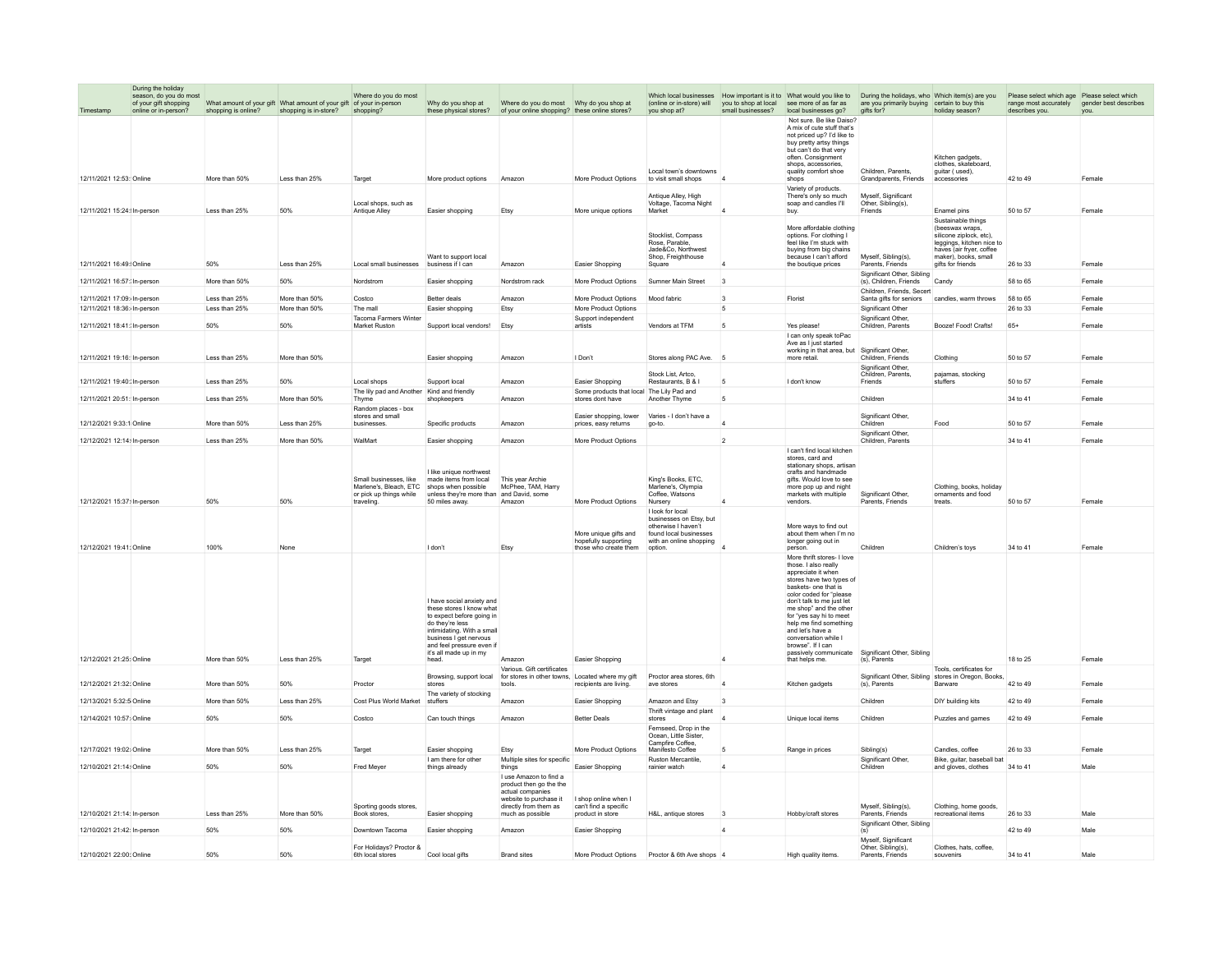|                             | During the holiday<br>season, do you do most |                     |                                                                     | Where do you do most                             |                                                                                                                                                                                                                               |                                                                                                                          |                                                               |                                                                                              |                         | Which local businesses How important is it to What would you like to During the holidays, who Which item(s) are you                                                                                                                                                                                                                                                        |                                                     |                                                                                                        | Please select which age Please select which                   |        |
|-----------------------------|----------------------------------------------|---------------------|---------------------------------------------------------------------|--------------------------------------------------|-------------------------------------------------------------------------------------------------------------------------------------------------------------------------------------------------------------------------------|--------------------------------------------------------------------------------------------------------------------------|---------------------------------------------------------------|----------------------------------------------------------------------------------------------|-------------------------|----------------------------------------------------------------------------------------------------------------------------------------------------------------------------------------------------------------------------------------------------------------------------------------------------------------------------------------------------------------------------|-----------------------------------------------------|--------------------------------------------------------------------------------------------------------|---------------------------------------------------------------|--------|
| Timestamp                   | of your gift shopping                        |                     | What amount of your gift What amount of your gift of your in-person |                                                  | Why do you shop at                                                                                                                                                                                                            |                                                                                                                          |                                                               | (online or in-store) will                                                                    | small businesses?       | you to shop at local see more of as far as                                                                                                                                                                                                                                                                                                                                 | are you primarily buying certain to buy this        | holiday season?                                                                                        | range most accurately gender best describes<br>describes you. |        |
|                             | online or in-person?                         | shopping is online? | shopping is in-store?                                               | shopping?                                        |                                                                                                                                                                                                                               | these physical stores? of your online shopping? these online stores?                                                     |                                                               | you shop at?                                                                                 |                         | local businesses go? gifts for?<br>Not sure. Be like Daiso?<br>A mix of cute stuff that's<br>not priced up? I'd like to<br>buy pretty artsy things<br>but can't do that very                                                                                                                                                                                               |                                                     |                                                                                                        |                                                               | you.   |
|                             |                                              |                     |                                                                     |                                                  |                                                                                                                                                                                                                               |                                                                                                                          |                                                               | Local town's downtowns                                                                       |                         | often, Consignment<br>shops, accessories.<br>quality comfort shoe                                                                                                                                                                                                                                                                                                          | Children, Parents                                   | Kitchen gadgets<br>clothes, skateboard,<br>guitar (used),                                              |                                                               |        |
| 12/11/2021 12:53: Online    |                                              | More than 50%       | Less than 25%                                                       | Target                                           | More product options                                                                                                                                                                                                          | Amazon                                                                                                                   | More Product Options                                          | to visit small shops                                                                         |                         | shops<br>Variety of products.                                                                                                                                                                                                                                                                                                                                              | Grandparents, Friends                               | accessories                                                                                            | 42 to 49                                                      | Female |
| 12/11/2021 15:24: In-person |                                              | Less than 25%       | 50%                                                                 | Local shops, such as<br>Antique Alley            | Easier shopping                                                                                                                                                                                                               | Etsy                                                                                                                     | More unique options                                           | <b>Antique Alley High</b><br>Voltage, Tacoma Night<br>Market                                 |                         | There's only so much<br>soap and candles I'll<br>buy.                                                                                                                                                                                                                                                                                                                      | Myself Significant<br>Other, Sibling(s).<br>Friends | Enamel pins                                                                                            | 50 to 57                                                      | Female |
|                             |                                              |                     |                                                                     |                                                  |                                                                                                                                                                                                                               |                                                                                                                          |                                                               |                                                                                              |                         | More affordable clothing                                                                                                                                                                                                                                                                                                                                                   |                                                     | Sustainable things<br>(beeswax wraps,                                                                  |                                                               |        |
|                             |                                              |                     |                                                                     |                                                  | Want to support local                                                                                                                                                                                                         |                                                                                                                          |                                                               | Stocklist Compass<br>Rose, Parable.<br>Jade&Co, Northwest<br>Shop, Freighthouse              |                         | options. For clothing I<br>feel like I'm stuck with<br>buying from big chains<br>because I can't afford                                                                                                                                                                                                                                                                    | Myself, Sibling(s),                                 | silicone ziplock_etc)<br>leggings, kitchen nice to<br>haves (air fryer, coffee<br>maker), books, small |                                                               |        |
| 12/11/2021 16:49: Online    |                                              | 50%                 | Less than 25%                                                       | Local small businesses                           | business if I can                                                                                                                                                                                                             | Amazon                                                                                                                   | Easier Shopping                                               | Square                                                                                       |                         | the boutique prices                                                                                                                                                                                                                                                                                                                                                        | Parents, Friends<br>Significant Other, Sibling      | gifts for friends                                                                                      | 26 to 33                                                      | Female |
| 12/11/2021 16:57: In-person |                                              | More than 50%       | 50%                                                                 | Nordstrom                                        | Easier shopping                                                                                                                                                                                                               | Nordstrom rack                                                                                                           | More Product Options                                          | Sumner Main Street                                                                           | $\overline{\mathbf{3}}$ |                                                                                                                                                                                                                                                                                                                                                                            | (s), Children, Friends<br>Children, Friends, Secert | Candy                                                                                                  | 58 to 65                                                      | Female |
| 12/11/2021 17:09: In-person |                                              | Less than 25%       | More than 50%                                                       | Costco                                           | Better deals                                                                                                                                                                                                                  | Amazon                                                                                                                   | More Product Options                                          | Mood fabric                                                                                  | $\overline{3}$          | Florist                                                                                                                                                                                                                                                                                                                                                                    | Santa gifts for seniors                             | candles, warm throws                                                                                   | 58 to 65                                                      | Female |
| 12/11/2021 18:36: In-person |                                              | Less than 25%       | More than 50%                                                       | The mall                                         | Easier shopping                                                                                                                                                                                                               | Etsy                                                                                                                     | More Product Options                                          |                                                                                              | 5                       |                                                                                                                                                                                                                                                                                                                                                                            | Significant Other                                   |                                                                                                        | 26 to 33                                                      | Female |
| 12/11/2021 18:41: In-person |                                              | 50%                 | 50%                                                                 | <b>Tacoma Farmers Winte</b><br>Market Ruston     | Support local vendors!                                                                                                                                                                                                        | Etsy                                                                                                                     | Support independent<br>artists                                | Vendors at TFM                                                                               | 5                       | Yes please!                                                                                                                                                                                                                                                                                                                                                                | Significant Other<br>Children, Parents              | Boozel Food! Crafts!                                                                                   | 65+                                                           | Female |
|                             |                                              |                     |                                                                     |                                                  |                                                                                                                                                                                                                               |                                                                                                                          |                                                               |                                                                                              |                         | I can only speak toPac<br>Ave as I just started                                                                                                                                                                                                                                                                                                                            |                                                     |                                                                                                        |                                                               |        |
| 12/11/2021 19:16: In-person |                                              | I ess than 25%      | More than 50%                                                       |                                                  | Easier shopping                                                                                                                                                                                                               | Amazon                                                                                                                   | I Don't                                                       | Stores along PAC Ave.                                                                        | -5                      | working in that area, but<br>more retail.                                                                                                                                                                                                                                                                                                                                  | Significant Other,<br>Children, Friends             | Clothing                                                                                               | 50 to 57                                                      | Female |
|                             |                                              |                     |                                                                     |                                                  |                                                                                                                                                                                                                               |                                                                                                                          |                                                               | Stock List, Artco.                                                                           |                         |                                                                                                                                                                                                                                                                                                                                                                            | Significant Other<br>Children, Parents.             | paiamas, stocking                                                                                      |                                                               |        |
| 12/11/2021 19:40: In-person |                                              | Less than 25%       | 50%                                                                 | Local shops                                      | Support local                                                                                                                                                                                                                 | Amazon                                                                                                                   | Easier Shopping                                               | Restaurants, B & I                                                                           | 5                       | I don't know                                                                                                                                                                                                                                                                                                                                                               | Friends                                             | stuffers                                                                                               | 50 to 57                                                      | Female |
| 12/11/2021 20:51: In-person |                                              | Less than 25%       | More than 50%                                                       | The lily pad and Another<br>Thyme                | Kind and friendly<br>shopkeepers                                                                                                                                                                                              | Amazon                                                                                                                   | Some products that local The Lily Pad and<br>stores dont have | Another Thyme                                                                                | 5                       |                                                                                                                                                                                                                                                                                                                                                                            | Children                                            |                                                                                                        | 34 to 41                                                      | Female |
|                             |                                              |                     |                                                                     | Random places - box                              |                                                                                                                                                                                                                               |                                                                                                                          |                                                               |                                                                                              |                         |                                                                                                                                                                                                                                                                                                                                                                            |                                                     |                                                                                                        |                                                               |        |
| 12/12/2021 9:33:1 Online    |                                              | More than 50%       | Less than 25%                                                       | stores and small<br>businesses                   | Specific products                                                                                                                                                                                                             | Amazon                                                                                                                   | Easier shopping, lower<br>prices, easy returns                | Varies - I don't have a<br>go-to.                                                            |                         |                                                                                                                                                                                                                                                                                                                                                                            | Significant Other,<br>Children                      | Food                                                                                                   | 50 to 57                                                      | Female |
| 12/12/2021 12:14: In-person |                                              | I ess than 25%      | More than 50%                                                       | WalMart                                          | Easier shopping                                                                                                                                                                                                               | Amazon                                                                                                                   | More Product Options                                          |                                                                                              | $\overline{2}$          |                                                                                                                                                                                                                                                                                                                                                                            | Significant Other,<br>Children, Parents             |                                                                                                        | 34 to 41                                                      | Female |
|                             |                                              |                     |                                                                     |                                                  |                                                                                                                                                                                                                               |                                                                                                                          |                                                               |                                                                                              |                         | I can't find local kitchen                                                                                                                                                                                                                                                                                                                                                 |                                                     |                                                                                                        |                                                               |        |
|                             |                                              |                     |                                                                     | Small businesses, like<br>Marlene's, Bleach, ETC | I like unique northwest<br>made items from local<br>shops when possible<br>unless they're more than and David, some                                                                                                           | This year Archie<br>McPhee, TAM, Harry                                                                                   |                                                               | King's Books, ETC,<br>Marlene's, Olympia<br>Coffee, Watsons                                  |                         | stores, card and<br>stationary shops, artisan<br>crafts and handmade<br>gifts. Would love to see<br>more pop up and night                                                                                                                                                                                                                                                  | Significant Other,                                  | Clothing, books, holiday                                                                               |                                                               |        |
| 12/12/2021 15:37: In-person |                                              | 50%                 | 50%                                                                 | or pick up things while<br>traveling             | 50 miles away.                                                                                                                                                                                                                | Amazon                                                                                                                   | More Product Options                                          | Nursery                                                                                      |                         | markets with multiple<br>vendors.                                                                                                                                                                                                                                                                                                                                          | Parents, Friends                                    | ornaments and food<br>treats.                                                                          | 50 to 57                                                      | Female |
|                             |                                              |                     |                                                                     |                                                  |                                                                                                                                                                                                                               |                                                                                                                          | More unique gifts and                                         | I look for local<br>businesses on Etsy, but<br>otherwise I haven't<br>found local businesses |                         | More ways to find out<br>about them when I'm no                                                                                                                                                                                                                                                                                                                            |                                                     |                                                                                                        |                                                               |        |
| 12/12/2021 19:41: Online    |                                              | 100%                | None                                                                |                                                  | I don't                                                                                                                                                                                                                       | Etsy                                                                                                                     | hopefully supporting<br>those who create them                 | with an online shopping<br>option.                                                           |                         | longer going out in<br>person.                                                                                                                                                                                                                                                                                                                                             | Children                                            | Children's toys                                                                                        | 34 to 41                                                      | Female |
| 12/12/2021 21:25: Online    |                                              | More than 50%       | Less than 25%                                                       | Target                                           | I have social anxiety and<br>these stores I know what<br>to expect before going in<br>do they're less<br>intimidating. With a small<br>business I get nervous<br>and feel pressure even if<br>it's all made up in my<br>head. | Amazon                                                                                                                   | Easier Shopping                                               |                                                                                              |                         | More thrift stores- I love<br>those Lalso really<br>appreciate it when<br>stores have two types of<br>baskets- one that is<br>color coded for "please<br>don't talk to me just let<br>me shop" and the other<br>for "yes say hi to meet<br>help me find something<br>and let's have a<br>conversation while<br>hrowse" If I can<br>passively communicate<br>that helps me. | Significant Other, Sibling<br>(s), Parents          |                                                                                                        | 18 to 25                                                      | Female |
|                             |                                              |                     |                                                                     |                                                  |                                                                                                                                                                                                                               | Various. Gift certificates                                                                                               |                                                               |                                                                                              |                         |                                                                                                                                                                                                                                                                                                                                                                            |                                                     | Tools, certificates for                                                                                |                                                               |        |
| 12/12/2021 21:32: Online    |                                              | More than 50%       | 50%                                                                 | Proctor                                          | Browsing, support local<br>stores                                                                                                                                                                                             | for stores in other towns, Located where my gift<br>tools                                                                | recipients are living                                         | Proctor area stores, 6th<br>ave stores                                                       |                         | Kitchen gadgets                                                                                                                                                                                                                                                                                                                                                            | (s). Parents                                        | Significant Other, Sibling stores in Oregon, Books,<br>Barware                                         | 42 to 49                                                      | Female |
| 12/13/2021 5:32:5 Online    |                                              | More than 50%       | Less than 25%                                                       | Cost Plus World Market                           | The variety of stocking<br>stuffers                                                                                                                                                                                           | Amazon                                                                                                                   | Easier Shopping                                               | Amazon and Etsy                                                                              | $\overline{3}$          |                                                                                                                                                                                                                                                                                                                                                                            | Children                                            | DIY building kits                                                                                      | 42 to 49                                                      | Female |
| 12/14/2021 10:57: Online    |                                              | 50%                 | 50%                                                                 | Costco                                           | Can touch things                                                                                                                                                                                                              | Amazon                                                                                                                   | <b>Better Deals</b>                                           | Thrift vintage and plant<br>stores                                                           |                         | Unique local items                                                                                                                                                                                                                                                                                                                                                         | Children                                            | Puzzles and games                                                                                      | 42 to 49                                                      | Female |
|                             |                                              |                     |                                                                     |                                                  |                                                                                                                                                                                                                               |                                                                                                                          |                                                               | Fernseed, Drop in the<br>Ocean, Little Sister.<br>Campfire Coffee.                           |                         |                                                                                                                                                                                                                                                                                                                                                                            |                                                     |                                                                                                        |                                                               |        |
| 12/17/2021 19:02: Online    |                                              | More than 50%       | Less than 25%                                                       | Target                                           | Easier shopping                                                                                                                                                                                                               | Etsy                                                                                                                     | More Product Options                                          | Manifesto Coffee                                                                             |                         | Range in prices                                                                                                                                                                                                                                                                                                                                                            | Sibling(s)                                          | Candles, coffee                                                                                        | 26 to 33                                                      | Female |
| 12/10/2021 21:14: Online    |                                              | 50%                 | 50%                                                                 | <b>Fred Mever</b>                                | I am there for other<br>things already                                                                                                                                                                                        | Multiple sites for specific<br>things                                                                                    | <b>Fasier Shopping</b>                                        | <b>Ruston Mercantile</b><br>rainier watch                                                    | $\overline{A}$          |                                                                                                                                                                                                                                                                                                                                                                            | Significant Other<br>Children                       | Bike quitar baseball bat<br>and gloves, clothes                                                        | 34 to 41                                                      | Male   |
|                             |                                              |                     |                                                                     | Sporting goods stores                            |                                                                                                                                                                                                                               | I use Amazon to find a<br>product then go the the<br>actual companies<br>website to purchase it<br>directly from them as | I shop online when I<br>can't find a specific                 |                                                                                              |                         |                                                                                                                                                                                                                                                                                                                                                                            | Mvself, Sibling(s),                                 | Clothing, home goods                                                                                   |                                                               |        |
| 12/10/2021 21:14: In-person |                                              | Less than 25%       | More than 50%                                                       | Book stores.                                     | Easier shopping                                                                                                                                                                                                               | much as possible                                                                                                         | product in store                                              | H&L, antique stores                                                                          | $\vert$ 3               | Hobby/craft stores                                                                                                                                                                                                                                                                                                                                                         | Parents, Friends                                    | recreational items                                                                                     | 26 to 33                                                      | Male   |
| 12/10/2021 21:42: In-person |                                              | 50%                 | 50%                                                                 | Downtown Tacoma                                  | Easier shopping                                                                                                                                                                                                               | Amazon                                                                                                                   | Easier Shopping                                               |                                                                                              |                         |                                                                                                                                                                                                                                                                                                                                                                            | Significant Other, Sibling<br>(s)                   |                                                                                                        | 42 to 49                                                      | Male   |
|                             |                                              |                     |                                                                     | For Holidays? Proctor &                          |                                                                                                                                                                                                                               |                                                                                                                          |                                                               |                                                                                              |                         |                                                                                                                                                                                                                                                                                                                                                                            | Myself, Significant<br>Other Sibling(s)             | Clothes hats coffee                                                                                    |                                                               |        |
| 12/10/2021 22:00: Online    |                                              | 50%                 | 50%                                                                 | 6th local stores                                 | Cool local gifts                                                                                                                                                                                                              | <b>Brand sites</b>                                                                                                       | More Product Options                                          | Proctor & 6th Ave shops 4                                                                    |                         | High quality items.                                                                                                                                                                                                                                                                                                                                                        | Parents, Friends                                    | souvenirs                                                                                              | 34 to 41                                                      | Male   |